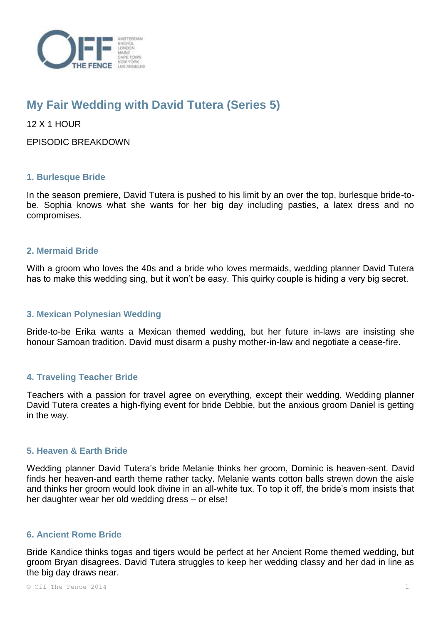

# **My Fair Wedding with David Tutera (Series 5)**

12 X 1 HOUR

EPISODIC BREAKDOWN

## **1. Burlesque Bride**

In the season premiere, David Tutera is pushed to his limit by an over the top, burlesque bride-tobe. Sophia knows what she wants for her big day including pasties, a latex dress and no compromises.

## **2. Mermaid Bride**

With a groom who loves the 40s and a bride who loves mermaids, wedding planner David Tutera has to make this wedding sing, but it won't be easy. This quirky couple is hiding a very big secret.

## **3. Mexican Polynesian Wedding**

Bride-to-be Erika wants a Mexican themed wedding, but her future in-laws are insisting she honour Samoan tradition. David must disarm a pushy mother-in-law and negotiate a cease-fire.

# **4. Traveling Teacher Bride**

Teachers with a passion for travel agree on everything, except their wedding. Wedding planner David Tutera creates a high-flying event for bride Debbie, but the anxious groom Daniel is getting in the way.

# **5. Heaven & Earth Bride**

Wedding planner David Tutera's bride Melanie thinks her groom, Dominic is heaven-sent. David finds her heaven-and earth theme rather tacky. Melanie wants cotton balls strewn down the aisle and thinks her groom would look divine in an all-white tux. To top it off, the bride's mom insists that her daughter wear her old wedding dress – or else!

# **6. Ancient Rome Bride**

Bride Kandice thinks togas and tigers would be perfect at her Ancient Rome themed wedding, but groom Bryan disagrees. David Tutera struggles to keep her wedding classy and her dad in line as the big day draws near.